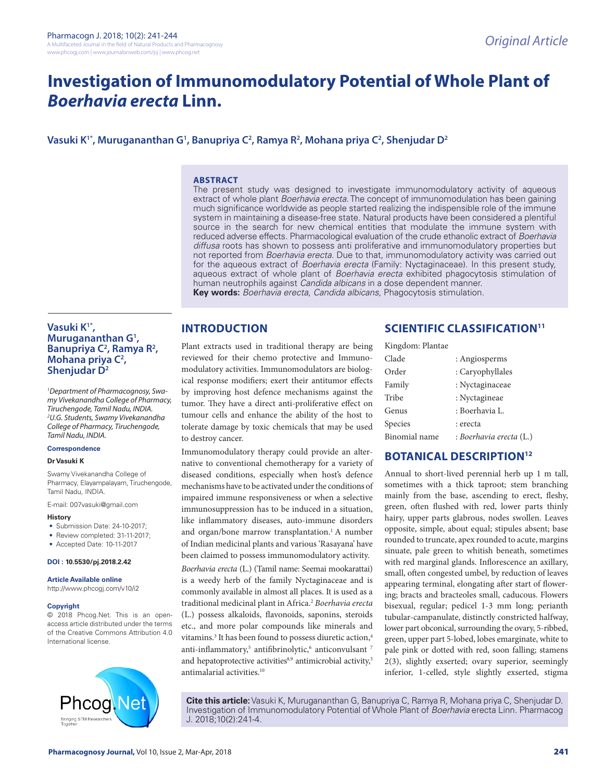# **Investigation of Immunomodulatory Potential of Whole Plant of**  *Boerhavia erecta* **Linn.**

# **Vasuki K1\*, Murugananthan G1 , Banupriya C2 , Ramya R2 , Mohana priya C2 , Shenjudar D2**

#### **ABSTRACT**

The present study was designed to investigate immunomodulatory activity of aqueous extract of whole plant *Boerhavia erecta*. The concept of immunomodulation has been gaining much significance worldwide as people started realizing the indispensible role of the immune system in maintaining a disease-free state. Natural products have been considered a plentiful source in the search for new chemical entities that modulate the immune system with reduced adverse effects. Pharmacological evaluation of the crude ethanolic extract of *Boerhavia diffusa* roots has shown to possess anti proliferative and immunomodulatory properties but not reported from *Boerhavia erecta*. Due to that, immunomodulatory activity was carried out for the aqueous extract of *Boerhavia erecta* (Family: Nyctaginaceae). In this present study, aqueous extract of whole plant of *Boerhavia erecta* exhibited phagocytosis stimulation of human neutrophils against *Candida albicans* in a dose dependent manner. **Key words:** *Boerhavia erecta*, *Candida albicans,* Phagocytosis stimulation.

## **INTRODUCTION**

**Vasuki K1\*, Murugananthan G1 ,**  Banupriya C<sup>2</sup>, Ramya R<sup>2</sup>, **Mohana priya C2 , Shenjudar D2**

*1 Department of Pharmacognosy, Swamy Vivekanandha College of Pharmacy, Tiruchengode, Tamil Nadu, INDIA. 2 U.G. Students, Swamy Vivekanandha College of Pharmacy, Tiruchengode, Tamil Nadu, INDIA.*

#### **Correspondence**

#### **Dr Vasuki K**

Swamy Vivekanandha College of Pharmacy, Elayampalayam, Tiruchengode, Tamil Nadu, INDIA.

E-mail: 007vasuki@gmail.com

#### **History**

- Submission Date: 24-10-2017;
- Review completed: 31-11-2017;
- Accepted Date: 10-11-2017

#### **DOI : 10.5530/pj.2018.2.42**

**Article Available online** 

http://www.phcogj.com/v10/i2

#### **Copyright**

© 2018 Phcog.Net. This is an openaccess article distributed under the terms of the Creative Commons Attribution 4.0 International license.



Plant extracts used in traditional therapy are being reviewed for their chemo protective and Immunomodulatory activities. Immunomodulators are biological response modifiers; exert their antitumor effects by improving host defence mechanisms against the tumor. They have a direct anti-proliferative effect on tumour cells and enhance the ability of the host to tolerate damage by toxic chemicals that may be used to destroy cancer.

Immunomodulatory therapy could provide an alternative to conventional chemotherapy for a variety of diseased conditions, especially when host's defence mechanisms have to be activated under the conditions of impaired immune responsiveness or when a selective immunosuppression has to be induced in a situation, like inflammatory diseases, auto-immune disorders and organ/bone marrow transplantation.<sup>1</sup> A number of Indian medicinal plants and various 'Rasayana' have been claimed to possess immunomodulatory activity.

*Boerhavia erecta* (L.) (Tamil name: Seemai mookarattai) is a weedy herb of the family Nyctaginaceae and is commonly available in almost all places. It is used as a traditional medicinal plant in Africa.2 *Boerhavia erecta* (L.) possess alkaloids, flavonoids, saponins, steroids etc., and more polar compounds like minerals and vitamins.<sup>3</sup> It has been found to possess diuretic action,<sup>4</sup> anti-inflammatory,<sup>5</sup> antifibrinolytic,<sup>6</sup> anticonvulsant <sup>7</sup> and hepatoprotective activities $8,9$  antimicrobial activity, $3$ antimalarial activities.10

# **SCIENTIFIC CLASSIFICATION<sup>11</sup>**

| Kingdom: Plantae |                         |
|------------------|-------------------------|
| Clade            | : Angiosperms           |
| Order            | : Caryophyllales        |
| Family           | : Nyctaginaceae         |
| Tribe            | : Nyctagineae           |
| Genus            | : Boerhavia L.          |
| Species          | : erecta                |
| Binomial name    | : Boerhavia erecta (L.) |

## **BOTANICAL DESCRIPTION12**

Annual to short-lived perennial herb up 1 m tall, sometimes with a thick taproot; stem branching mainly from the base, ascending to erect, fleshy, green, often flushed with red, lower parts thinly hairy, upper parts glabrous, nodes swollen. Leaves opposite, simple, about equal; stipules absent; base rounded to truncate, apex rounded to acute, margins sinuate, pale green to whitish beneath, sometimes with red marginal glands. Inflorescence an axillary, small, often congested umbel, by reduction of leaves appearing terminal, elongating after start of flowering; bracts and bracteoles small, caducous. Flowers bisexual, regular; pedicel 1-3 mm long; perianth tubular-campanulate, distinctly constricted halfway, lower part obconical, surrounding the ovary, 5-ribbed, green, upper part 5-lobed, lobes emarginate, white to pale pink or dotted with red, soon falling; stamens 2(3), slightly exserted; ovary superior, seemingly inferior, 1-celled, style slightly exserted, stigma

**Cite this article:** Vasuki K, Murugananthan G, Banupriya C, Ramya R, Mohana priya C, Shenjudar D. Investigation of Immunomodulatory Potential of Whole Plant of *Boerhavia* erecta Linn. Pharmacog J. 2018;10(2):241-4.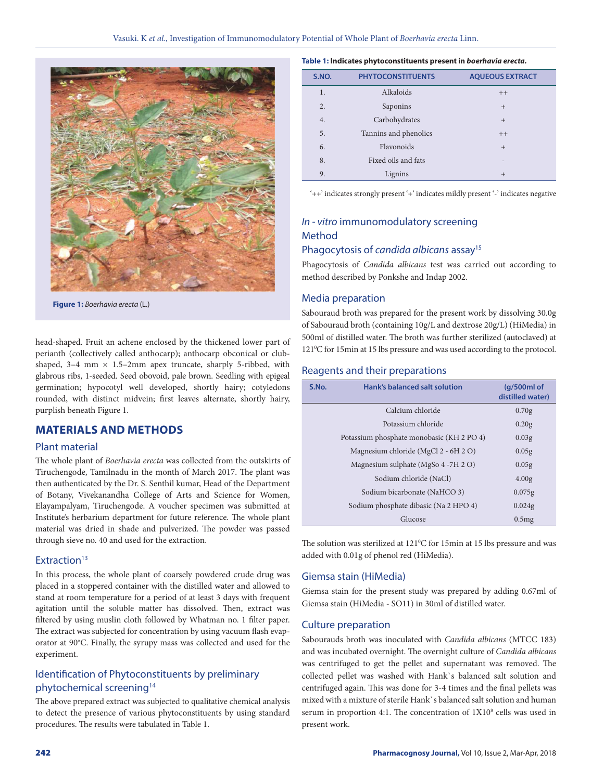

**Figure 1:** *Boerhavia erecta* (L.)

head-shaped. Fruit an achene enclosed by the thickened lower part of perianth (collectively called anthocarp); anthocarp obconical or clubshaped,  $3-4$  mm  $\times$  1.5-2mm apex truncate, sharply 5-ribbed, with glabrous ribs, 1-seeded. Seed obovoid, pale brown. Seedling with epigeal germination; hypocotyl well developed, shortly hairy; cotyledons rounded, with distinct midvein; first leaves alternate, shortly hairy, purplish beneath Figure 1.

# **MATERIALS AND METHODS**

## Plant material

The whole plant of *Boerhavia erecta* was collected from the outskirts of Tiruchengode, Tamilnadu in the month of March 2017. The plant was then authenticated by the Dr. S. Senthil kumar, Head of the Department of Botany, Vivekanandha College of Arts and Science for Women, Elayampalyam, Tiruchengode. A voucher specimen was submitted at Institute's herbarium department for future reference. The whole plant material was dried in shade and pulverized. The powder was passed through sieve no. 40 and used for the extraction.

## Extraction<sup>13</sup>

In this process, the whole plant of coarsely powdered crude drug was placed in a stoppered container with the distilled water and allowed to stand at room temperature for a period of at least 3 days with frequent agitation until the soluble matter has dissolved. Then, extract was filtered by using muslin cloth followed by Whatman no. 1 filter paper. The extract was subjected for concentration by using vacuum flash evaporator at 90°C. Finally, the syrupy mass was collected and used for the experiment.

## Identification of Phytoconstituents by preliminary phytochemical screening<sup>14</sup>

The above prepared extract was subjected to qualitative chemical analysis to detect the presence of various phytoconstituents by using standard procedures. The results were tabulated in Table 1.

| S.NO.            | <b>PHYTOCONSTITUENTS</b> | <b>AQUEOUS EXTRACT</b> |
|------------------|--------------------------|------------------------|
| 1.               | Alkaloids                | $++$                   |
| $\overline{2}$ . | Saponins                 | $^{+}$                 |
| 4.               | Carbohydrates            | $+$                    |
| 5.               | Tannins and phenolics    | $++$                   |
| 6.               | Flavonoids               | $+$                    |
| 8.               | Fixed oils and fats      |                        |
| 9.               | Lignins                  | $+$                    |

'++' indicates strongly present '+' indicates mildly present '-' indicates negative

## *In - vitro* immunomodulatory screening Method

## Phagocytosis of *candida albicans* assay15

Phagocytosis of *Candida albicans* test was carried out according to method described by Ponkshe and Indap 2002.

## Media preparation

Sabouraud broth was prepared for the present work by dissolving 30.0g of Sabouraud broth (containing 10g/L and dextrose 20g/L) (HiMedia) in 500ml of distilled water. The broth was further sterilized (autoclaved) at 121°C for 15min at 15 lbs pressure and was used according to the protocol.

### Reagents and their preparations

| S.No. | Hank's balanced salt solution             | (g/500ml of<br>distilled water) |
|-------|-------------------------------------------|---------------------------------|
|       | Calcium chloride                          | 0.70g                           |
|       | Potassium chloride                        | 0.20g                           |
|       | Potassium phosphate monobasic (KH 2 PO 4) | 0.03 <sub>g</sub>               |
|       | Magnesium chloride (MgCl 2 - 6H 2 O)      | 0.05g                           |
|       | Magnesium sulphate (MgSo 4 -7H 2 O)       | 0.05g                           |
|       | Sodium chloride (NaCl)                    | 4.00 <sub>g</sub>               |
|       | Sodium bicarbonate (NaHCO 3)              | 0.075g                          |
|       | Sodium phosphate dibasic (Na 2 HPO 4)     | 0.024g                          |
|       | Glucose                                   | 0.5mg                           |

The solution was sterilized at  $121^{\circ}$ C for 15min at 15 lbs pressure and was added with 0.01g of phenol red (HiMedia).

#### Giemsa stain (HiMedia)

Giemsa stain for the present study was prepared by adding 0.67ml of Giemsa stain (HiMedia - SO11) in 30ml of distilled water.

#### Culture preparation

Sabourauds broth was inoculated with *Candida albicans* (MTCC 183) and was incubated overnight. The overnight culture of *Candida albicans* was centrifuged to get the pellet and supernatant was removed. The collected pellet was washed with Hank`s balanced salt solution and centrifuged again. This was done for 3-4 times and the final pellets was mixed with a mixture of sterile Hank`s balanced salt solution and human serum in proportion 4:1. The concentration of  $1X10<sup>8</sup>$  cells was used in present work.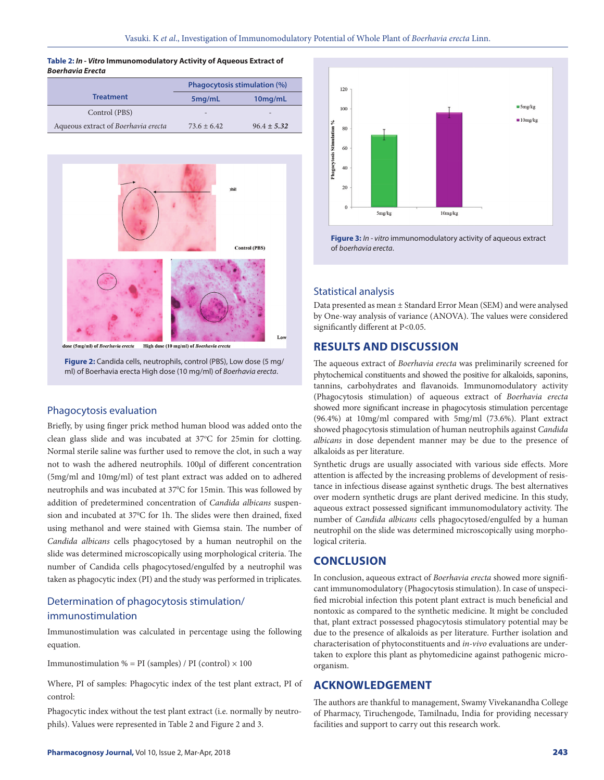**Table 2:** *In - Vitro* **Immunomodulatory Activity of Aqueous Extract of**  *Boerhavia Erecta*

|                                     | <b>Phagocytosis stimulation (%)</b> |                          |
|-------------------------------------|-------------------------------------|--------------------------|
| <b>Treatment</b>                    | 5 <sub>mq</sub> /mL                 | 10mg/mL                  |
| Control (PBS)                       | $\overline{\phantom{a}}$            | $\overline{\phantom{a}}$ |
| Aqueous extract of Boerhavia erecta | $73.6 + 6.42$                       | $96.4 \pm 5.32$          |



**Figure 2:** Candida cells, neutrophils, control (PBS), Low dose (5 mg/ ml) of Boerhavia erecta High dose (10 mg/ml) of *Boerhavia erecta*.

## Phagocytosis evaluation

Briefly, by using finger prick method human blood was added onto the clean glass slide and was incubated at 37°C for 25min for clotting. Normal sterile saline was further used to remove the clot, in such a way not to wash the adhered neutrophils. 100µl of different concentration (5mg/ml and 10mg/ml) of test plant extract was added on to adhered neutrophils and was incubated at 37°C for 15min. This was followed by addition of predetermined concentration of *Candida albicans* suspension and incubated at 37°C for 1h. The slides were then drained, fixed using methanol and were stained with Giemsa stain. The number of *Candida albicans* cells phagocytosed by a human neutrophil on the slide was determined microscopically using morphological criteria. The number of Candida cells phagocytosed/engulfed by a neutrophil was taken as phagocytic index (PI) and the study was performed in triplicates.

# Determination of phagocytosis stimulation/ immunostimulation

Immunostimulation was calculated in percentage using the following equation.

Immunostimulation % = PI (samples) / PI (control)  $\times$  100

Where, PI of samples: Phagocytic index of the test plant extract, PI of control:

Phagocytic index without the test plant extract (i.e. normally by neutrophils). Values were represented in Table 2 and Figure 2 and 3.



**Figure 3:** *In - vitro* immunomodulatory activity of aqueous extract of *boerhavia erecta*.

## Statistical analysis

Data presented as mean ± Standard Error Mean (SEM) and were analysed by One-way analysis of variance (ANOVA). The values were considered significantly different at P<0.05.

# **RESULTS AND DISCUSSION**

The aqueous extract of *Boerhavia erecta* was preliminarily screened for phytochemical constituents and showed the positive for alkaloids, saponins, tannins, carbohydrates and flavanoids. Immunomodulatory activity (Phagocytosis stimulation) of aqueous extract of *Boerhavia erecta* showed more significant increase in phagocytosis stimulation percentage (96.4%) at 10mg/ml compared with 5mg/ml (73.6%). Plant extract showed phagocytosis stimulation of human neutrophils against *Candida albicans* in dose dependent manner may be due to the presence of alkaloids as per literature.

Synthetic drugs are usually associated with various side effects. More attention is affected by the increasing problems of development of resistance in infectious disease against synthetic drugs. The best alternatives over modern synthetic drugs are plant derived medicine. In this study, aqueous extract possessed significant immunomodulatory activity. The number of *Candida albicans* cells phagocytosed/engulfed by a human neutrophil on the slide was determined microscopically using morphological criteria.

## **CONCLUSION**

In conclusion, aqueous extract of *Boerhavia erecta* showed more significant immunomodulatory (Phagocytosis stimulation). In case of unspecified microbial infection this potent plant extract is much beneficial and nontoxic as compared to the synthetic medicine. It might be concluded that, plant extract possessed phagocytosis stimulatory potential may be due to the presence of alkaloids as per literature. Further isolation and characterisation of phytoconstituents and *in-vivo* evaluations are undertaken to explore this plant as phytomedicine against pathogenic microorganism.

# **ACKNOWLEDGEMENT**

The authors are thankful to management, Swamy Vivekanandha College of Pharmacy, Tiruchengode, Tamilnadu, India for providing necessary facilities and support to carry out this research work.